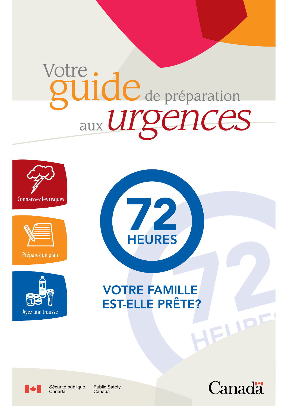# Votre: de préparation aux Urgences









**VOTRE FAMILLE** EST-ELLE PRÊTE? HEIPE

Ayez une trousse



**Public Safety** Canada

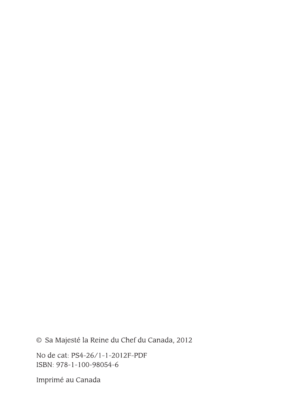# © Sa Majesté la Reine du Chef du Canada, 2012

No de cat: PS4-26/1-1-2012F-PDF ISBN: 978-1-100-98054-6

Imprimé au Canada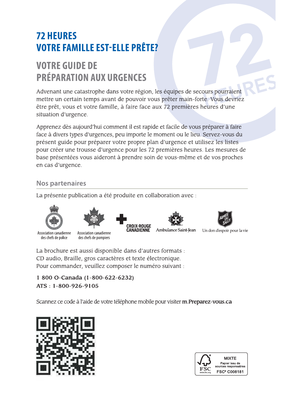# **72 HEURES VOTRE FAMILLE EST-ELLE PRÊTE?**

# **VOTRE GUIDE DE PRÉPARATION AUX URGENCES**

Advenant une catastrophe dans votre région, les équipes de secours pourraient mettre un certain temps avant de pouvoir vous prêter main-forte. Vous devriez être prêt, vous et votre famille, à faire face aux 72 premières heures d'une situation d'urgence.

Apprenez dès aujourd'hui comment il est rapide et facile de vous préparer à faire face à divers types d'urgences, peu importe le moment ou le lieu. Servez-vous du présent guide pour préparer votre propre plan d'urgence et utilisez les listes pour créer une trousse d'urgence pour les 72 premières heures. Les mesures de base présentées vous aideront à prendre soin de vous-même et de vos proches en cas d'urgence.

# **Nos partenaires**

La présente publication a été produite en collaboration avec :





Association canadienne des chefs de police des chefs de pompiers



CRO**I**X-ROUGE **CANADIENNE** 





Un don d'espoir pour la vie

La brochure est aussi disponible dans d'autres formats : CD audio, Braille, gros caractères et texte électronique. Pour commander, veuillez composer le numéro suivant :

1 800 O-Canada (1-800-622-6232)  $ATS: 1-800-926-9105$ 

Scannez ce code à l'aide de votre téléphone mobile pour visiter m. Preparez-vous.ca



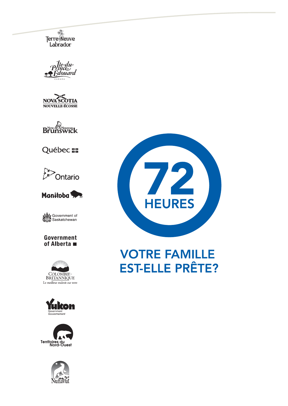Erre Meuve

le-du-













### Government of Alberta ■







# **VOTRE FAMILLE EST-ELLE PRÊTE?**





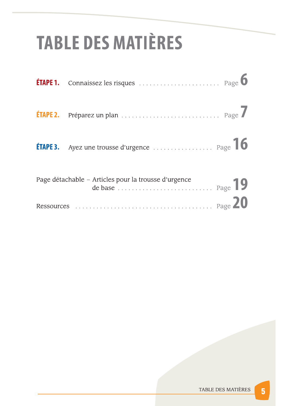# **TABLE DES MATIÈRES**

| ÉTAPE 2. |                                                      |  |
|----------|------------------------------------------------------|--|
|          |                                                      |  |
|          | Page détachable - Articles pour la trousse d'urgence |  |
|          |                                                      |  |



 $5\phantom{1}$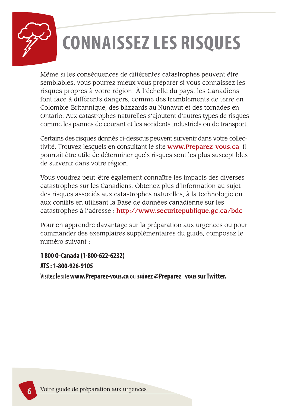

# **CONNAISSEZ LES RISQUES**

Même si les conséquences de différentes catastrophes peuvent être semblables, vous pourrez mieux vous préparer si vous connaissez les risques propres à votre région. À l'échelle du pays, les Canadiens font face à différents dangers, comme des tremblements de terre en Colombie-Britannique, des blizzards au Nunavut et des tornades en Ontario. Aux catastrophes naturelles s'ajoutent d'autres types de risques comme les pannes de courant et les accidents industriels ou de transport.

Certains des risques donnés ci-dessous peuvent survenir dans votre collectivité. Trouvez lesquels en consultant le site www.Preparez-vous.ca. Il pourrait être utile de déterminer quels risques sont les plus susceptibles de survenir dans votre région.

Vous voudrez peut-être également connaître les impacts des diverses catastrophes sur les Canadiens. Obtenez plus d'information au sujet des risques associés aux catastrophes naturelles, à la technologie ou aux conflits en utilisant la Base de données canadienne sur les catastrophes à l'adresse : http://www.securitepublique.gc.ca/bdc

Pour en apprendre davantage sur la préparation aux urgences ou pour commander des exemplaires supplémentaires du guide, composez le numéro suivant :

# 1800 O-Canada (1-800-622-6232)

## ATS: 1-800-926-9105

Visitez le site www.Preparez-vous.ca ou suivez @Preparez\_vous sur Twitter.

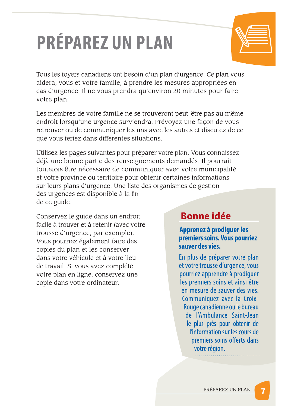# **PRÉPAREZ UN PLAN**



Tous les foyers canadiens ont besoin d'un plan d'urgence. Ce plan vous aidera, vous et votre famille, à prendre les mesures appropriées en cas d'urgence. Il ne vous prendra qu'environ 20 minutes pour faire votre plan.

Les membres de votre famille ne se trouveront peut-être pas au même endroit lorsqu'une urgence surviendra. Prévoyez une façon de vous retrouver ou de communiquer les uns avec les autres et discutez de ce que vous feriez dans différentes situations.

Utilisez les pages suivantes pour préparer votre plan. Vous connaissez déjà une bonne partie des renseignements demandés. Il pourrait toutefois être nécessaire de communiquer avec votre municipalité et votre province ou territoire pour obtenir certaines informations sur leurs plans d'urgence. Une liste des organismes de gestion des urgences est disponible à la fin de ce guide.

Conservez le guide dans un endroit facile à trouver et à retenir (avec votre trousse d'urgence, par exemple). Vous pourriez également faire des copies du plan et les conserver dans votre véhicule et à votre lieu de travail. Si vous avez complété votre plan en ligne, conservez une copie dans votre ordinateur.

# **Bonne idée**

## Apprenez à prodiguer les premiers soins. Vous pourriez sauver des vies.

En plus de préparer votre plan et votre trousse d'urgence, vous pourriez apprendre à prodiguer les premiers soins et ainsi être en mesure de sauver des vies. Communiquez avec la Croix-Rouge canadienne ou le bureau de l'Ambulance Saint-Jean le plus près pour obtenir de l'information sur les cours de premiers soins offerts dans votre région.

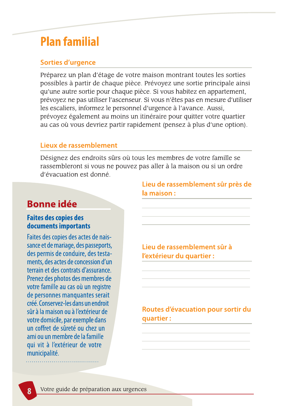# **Plan familial**

# **Sorties d'urgence**

Préparez un plan d'étage de votre maison montrant toutes les sorties possibles à partir de chaque pièce. Prévoyez une sortie principale ainsi qu'une autre sortie pour chaque pièce. Si vous habitez en appartement, prévoyez ne pas utiliser l'ascenseur. Si vous n'êtes pas en mesure d'utiliser les escaliers, informez le personnel d'urgence à l'avance. Aussi, prévoyez également au moins un itinéraire pour quitter votre quartier au cas où vous devriez partir rapidement (pensez à plus d'une option).

## Lieux de rassemblement

Désignez des endroits sûrs où tous les membres de votre famille se rassembleront si vous ne pouvez pas aller à la maison ou si un ordre d'évacuation est donné.

# **Bonne idée**

# **Faites des copies des** documents importants

Faites des copies des actes de naissance et de mariage, des passeports, des permis de conduire, des testaments, des actes de concession d'un terrain et des contrats d'assurance. Prenez des photos des membres de votre famille au cas où un registre de personnes manquantes serait créé. Conservez-les dans un endroit sûr à la maison ou à l'extérieur de votre domicile, par exemple dans un coffret de sûreté ou chez un ami ou un membre de la famille qui vit à l'extérieur de votre municipalité.

Lieu de rassemblement sûr près de la maison:

Lieu de rassemblement sûr à l'extérieur du quartier :

Routes d'évacuation pour sortir du quartier:



Votre guide de préparation aux urgences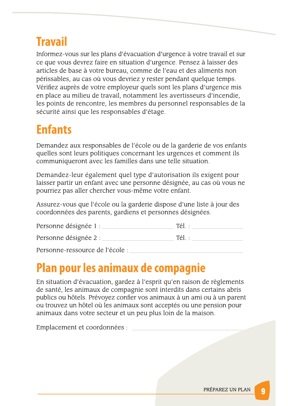# **Travail**

Informez-vous sur les plans d'évacuation d'urgence à votre travail et sur ce que vous devrez faire en situation d'urgence. Pensez à laisser des articles de base à votre bureau, comme de l'eau et des aliments non périssables, au cas où vous devriez y rester pendant quelque temps. Vérifiez auprès de votre employeur quels sont les plans d'urgence mis en place au milieu de travail, notamment les avertisseurs d'incendie, les points de rencontre, les membres du personnel responsables de la sécurité ainsi que les responsables d'étage.

# **Enfants**

Demandez aux responsables de l'école ou de la garderie de vos enfants quelles sont leurs politiques concernant les urgences et comment ils communiqueront avec les familles dans une telle situation.

Demandez-leur également quel type d'autorisation ils exigent pour laisser partir un enfant avec une personne désignée, au cas où vous ne pourriez pas aller chercher vous-même votre enfant.

Assurez-vous que l'école ou la garderie dispose d'une liste à jour des coordonnées des parents, gardiens et personnes désignées.

| Personne désignée 1 : | Tél. |
|-----------------------|------|
| Personne désignée 2 : | Tél. |
| .                     |      |

Personne-ressource de l'école :

# Plan pour les animaux de compagnie

En situation d'évacuation, gardez à l'esprit qu'en raison de règlements de santé, les animaux de compagnie sont interdits dans certains abris publics ou hôtels. Prévoyez confier vos animaux à un ami ou à un parent ou trouvez un hôtel où les animaux sont acceptés ou une pension pour animaux dans votre secteur et un peu plus loin de la maison.

Emplacement et coordonnées :



9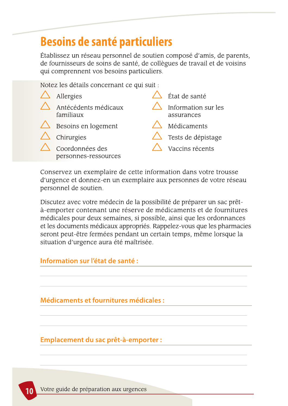# **Besoins de santé particuliers**

Établissez un réseau personnel de soutien composé d'amis, de parents, de fournisseurs de soins de santé, de collègues de travail et de voisins qui comprennent vos besoins particuliers.

Notez les détails concernant ce qui suit :

| $\triangle$ Allergies                   | État de santé                     |
|-----------------------------------------|-----------------------------------|
| Antécédents médicaux<br>familiaux       | Information sur les<br>assurances |
| $\triangle$ Besoins en logement         | Médicaments                       |
| $\triangle$ Chirurgies                  | $\triangle$ Tests de dépistage    |
| Coordonnées des<br>personnes-ressources | Vaccins récents                   |

Conservez un exemplaire de cette information dans votre trousse d'urgence et donnez-en un exemplaire aux personnes de votre réseau personnel de soutien.

Discutez avec votre médecin de la possibilité de préparer un sac prêtà-emporter contenant une réserve de médicaments et de fournitures médicales pour deux semaines, si possible, ainsi que les ordonnances et les documents médicaux appropriés. Rappelez-vous que les pharmacies seront peut-être fermées pendant un certain temps, même lorsque la situation d'urgence aura été maîtrisée.

# Information sur l'état de santé :

# **Médicaments et fournitures médicales :**

## Emplacement du sac prêt-à-emporter :

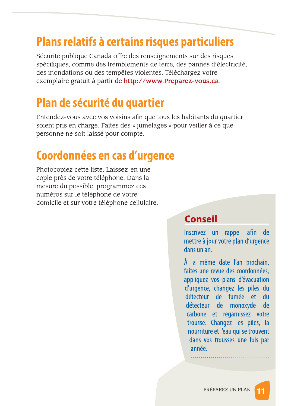# Plans relatifs à certains risques particuliers

Sécurité publique Canada offre des renseignements sur des risques spécifiques, comme des tremblements de terre, des pannes d'électricité, des inondations ou des tempêtes violentes. Téléchargez votre exemplaire gratuit à partir de http://www.Preparez-vous.ca.

# Plan de sécurité du quartier

Entendez-vous avec vos voisins afin que tous les habitants du quartier soient pris en charge. Faites des « jumelages » pour veiller à ce que personne ne soit laissé pour compte.

# Coordonnées en cas d'urgence

Photocopiez cette liste. Laissez-en une copie près de votre téléphone. Dans la mesure du possible, programmez ces numéros sur le téléphone de votre domicile et sur votre téléphone cellulaire.

# **Conseil**

Inscrivez un rappel afin de mettre à jour votre plan d'urgence dans un an.

À la même date l'an prochain, faites une revue des coordonnées, appliquez vos plans d'évacuation d'urgence, changez les piles du détecteur de fumée et du détecteur de monoxyde de carbone et regarnissez votre trousse. Changez les piles, la nourriture et l'eau qui se trouvent dans vos trousses une fois par année.

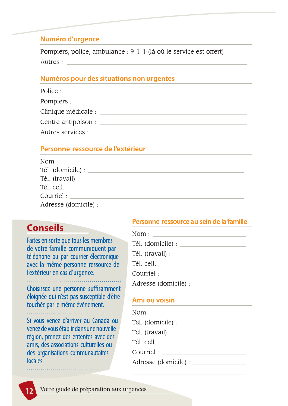### Numéro d'urgence

Pompiers, police, ambulance : 9-1-1 (là où le service est offert) Autres :

### Numéros pour des situations non urgentes

| Police :                            |
|-------------------------------------|
| Pompiers : $\overline{\phantom{a}}$ |
| Clinique médicale :                 |
| Centre antipoison :                 |
| Autres services :                   |

# Personne-ressource de l'extérieur

| Nom :                    |  |
|--------------------------|--|
| Tél. (domicile) : ______ |  |
|                          |  |
| Tél. cell. :             |  |
| Courriel:                |  |
| Adresse (domicile) :     |  |

# **Conseils**

Faites en sorte que tous les membres de votre famille communiquent par téléphone ou par courrier électronique avec la même personne-ressource de l'extérieur en cas d'urgence.

Choisissez une personne suffisamment éloignée qui n'est pas susceptible d'être touchée par le même événement.

## Personne-ressource au sein de la famille

# Ami ou voisin

Si vous venez d'arriver au Canada ou venez de vous établir dans une nouvelle région, prenez des ententes avec des amis, des associations culturelles ou des organisations communautaires locales.

| $\mathsf{Nom}:\square$                                |
|-------------------------------------------------------|
| Tél. (domicile) : _____                               |
| Tél. (travail) : __                                   |
| Tél. cell. :                                          |
| Courriel:                                             |
| $\Delta$ . The second $\Delta$ is the second $\Delta$ |



Votre guide de préparation aux urgences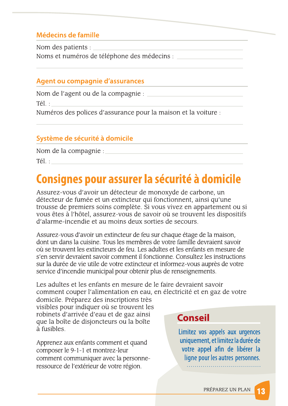# Médecins de famille

Noms et numéros de téléphone des médecins :

# **Agent ou compagnie d'assurances**

Tél. :

Numéros des polices d'assurance pour la maison et la voiture :

# Système de sécurité à domicile

Nom de la compagnie :

Tél.:

# Consignes pour assurer la sécurité à domicile

Assurez-vous d'avoir un détecteur de monoxyde de carbone, un détecteur de fumée et un extincteur qui fonctionnent, ainsi qu'une trousse de premiers soins complète. Si vous vivez en appartement ou si vous êtes à l'hôtel, assurez-vous de savoir où se trouvent les dispositifs d'alarme-incendie et au moins deux sorties de secours.

Assurez-vous d'avoir un extincteur de feu sur chaque étage de la maison, dont un dans la cuisine. Tous les membres de votre famille devraient savoir où se trouvent les extincteurs de feu. Les adultes et les enfants en mesure de s'en servir devraient savoir comment il fonctionne. Consultez les instructions sur la durée de vie utile de votre extincteur et informez-vous auprès de votre service d'incendie municipal pour obtenir plus de renseignements.

Les adultes et les enfants en mesure de le faire devraient savoir comment couper l'alimentation en eau, en électricité et en gaz de votre domicile. Préparez des inscriptions très visibles pour indiquer où se trouvent les robinets d'arrivée d'eau et de gaz ainsi **Conseil** que la boîte de disjoncteurs ou la boîte à fusibles. Limitez vos appels aux urgences uniquement, et limitez la durée de Apprenez aux enfants comment et quand votre appel afin de libérer la composer le 9-1-1 et montrez-leur ligne pour les autres personnes. comment communiquer avec la personne-

ressource de l'extérieur de votre région.

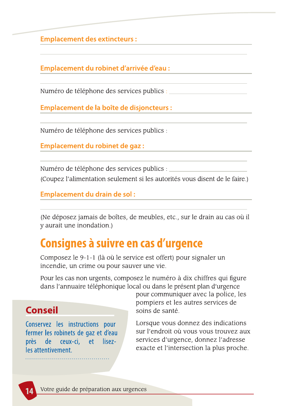**Emplacement des extincteurs:** 

Emplacement du robinet d'arrivée d'eau :

W - XYQQQQQQQQQQQQQQQQQQQQQQQQQQ

Emplacement de la boîte de disjoncteurs :

Numero de telephone des services publics :

Emplacement du robinet de gaz :

QQQQQQQQQQQQQQQQQQQQQQQQQQQQQQQQQQQQQQQQQQQQQQQQQQQQQQQQQQQQQQQQQQQQQ

Emplacement du drain de sol :

(Ne deposez Jamais de boites, de meubles, etc., sur le drain au cas ou il y aurait une inondation.) –

 $\overline{\mathcal{L}}$  , and the construction of the construction of the construction of the construction of the construction of the construction of the construction of the construction of the construction of the construction of the

# Consignes à suivre en cas d'urgence

Composez le 9-1-1 (la où le service est offert) pour signaler un incendie, un crime ou pour sauver une vie.

Pour les cas non urgents, composez le numero à dix chiffres qui figure dans l'annuaire telephonique local où dans le present plan d'urgènce



pour communiquer avec la police, les pomplers et les autres services de

Composez le 9-1-1 (là où le service est offert<br>
incendie, un crime ou pour sauver une vie.<br>
Pour les cas non urgents, composez le numér<br>
dans l'annuaire téléphonique local ou dans le<br>
pour commu<br>
pompiers et<br>
conservez les Composez le 9-1-1 (la où le service<br>
incendie, un crime ou pour sauver i<br>
Pour les cas non urgents, composez<br>
dans l'annuaire téléphonique local q<br>
poi<br>
poi<br> **Conservez** les instructions pour<br>
fermer les robinets de gaz et Pour les cas non urgents, composez<br>
dans l'annuaire téléphonique local c<br>
pour<br> **Conseil**<br>
Conservez les instructions pour<br>
fermer les robinets de gaz et d'eau<br>
près de ceux-ci, et lisez-<br>
les attentivement.<br>
.............

# soins de sante.

Lorsque vous donnez des indications sur l'endroit ou vous vous trouvez aux services d'urgence, donnez l'adresse exacté et l'intersection la plus pr **Conservez** les instructions pour<br>
fermer les robinets de gaz et d'eau<br>
près de ceux-ci, et lisez-<br>
les attentivement.



14 Votre guide de preparation aux urgences

W - XYQQQQQQQQQQQQQQQQQQQQQQQQQQ

(Coupez Falimentation seulement si les autorites vous disent de le faire.)

 $\overline{\mathcal{L}}$  , and the construction of the construction of the construction of the construction of the construction of the construction of the construction of the construction of the construction of the construction of the

 $\overline{\phantom{a}}$ 

 $\overline{\mathcal{L}}$  , and the construction of the construction of the construction of the construction of the construction of the construction of the construction of the construction of the construction of the construction of the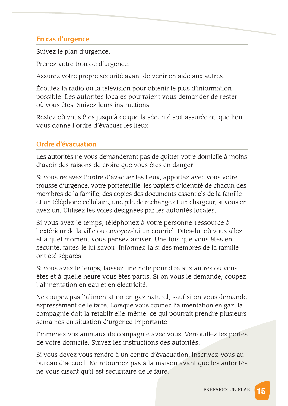# En cas d'urgence

Suivez le plan d'urgence.

Prenez votre trousse d'urgence.

Assurez votre propre sécurité avant de venir en aide aux autres.

Écoutez la radio ou la télévision pour obtenir le plus d'information possible. Les autorités locales pourraient vous demander de rester où vous êtes. Suivez leurs instructions.

Restez où vous êtes jusqu'à ce que la sécurité soit assurée ou que l'on vous donne l'ordre d'évacuer les lieux.

# **Ordre d'évacuation**

Les autorités ne vous demanderont pas de quitter votre domicile à moins d'avoir des raisons de croire que vous êtes en danger.

Si vous recevez l'ordre d'évacuer les lieux, apportez avec vous votre trousse d'urgence, votre portefeuille, les papiers d'identité de chacun des membres de la famille, des copies des documents essentiels de la famille et un téléphone cellulaire, une pile de rechange et un chargeur, si vous en avez un. Utilisez les voies désignées par les autorités locales.

Si vous avez le temps, téléphonez à votre personne-ressource à l'extérieur de la ville ou envoyez-lui un courriel. Dites-lui où vous allez et à quel moment vous pensez arriver. Une fois que vous êtes en sécurité, faites-le lui savoir. Informez-la si des membres de la famille ont été séparés.

Si vous avez le temps, laissez une note pour dire aux autres où vous êtes et à quelle heure vous êtes partis. Si on vous le demande, coupez l'alimentation en eau et en électricité.

Ne coupez pas l'alimentation en gaz naturel, sauf si on vous demande expressément de le faire. Lorsque vous coupez l'alimentation en gaz, la compagnie doit la rétablir elle-même, ce qui pourrait prendre plusieurs semaines en situation d'urgence importante.

Emmenez vos animaux de compagnie avec vous. Verrouillez les portes de votre domicile. Suivez les instructions des autorités.

Si vous devez vous rendre à un centre d'évacuation, inscrivez-vous au bureau d'accueil. Ne retournez pas à la maison avant que les autorités ne vous disent qu'il est sécuritaire de le faire.

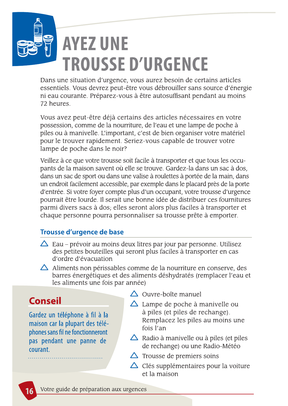

Dans une situation d'urgence, vous aurez besoin de certains articles essentiels. Vous devrez peut-être vous débrouiller sans source d'énergie ni eau courante. Préparez-vous à être autosuffisant pendant au moins 72 heures.

Vous avez peut-être déjà certains des articles nécessaires en votre possession, comme de la nourriture, de l'eau et une lampe de poche à piles ou à manivelle. L'important, c'est de bien organiser votre matériel pour le trouver rapidement. Seriez-vous capable de trouver votre lampe de poche dans le noir?

Veillez à ce que votre trousse soit facile à transporter et que tous les occupants de la maison savent où elle se trouve. Gardez-la dans un sac à dos, dans un sac de sport ou dans une valise à roulettes à portée de la main, dans un endroit facilement accessible, par exemple dans le placard près de la porte d'entrée. Si votre foyer compte plus d'un occupant, votre trousse d'urgence pourrait être lourde. Il serait une bonne idée de distribuer ces fournitures parmi divers sacs à dos; elles seront alors plus faciles à transporter et chaque personne pourra personnaliser sa trousse prête à emporter.

# Trousse d'urgence de base

- $\triangle$  Eau prévoir au moins deux litres par jour par personne. Utilisez des petites bouteilles qui seront plus faciles à transporter en cas d'ordre d'évacuation
- $\triangle$  Aliments non périssables comme de la nourriture en conserve, des barres énergétiques et des aliments déshydratés (remplacer l'eau et les aliments une fois par année)

 $\triangle$  Ouvre-boîte manuel

# **Conseil**

 $\Delta$  Lampe de poche à manivelle ou

Gardez un téléphone à fil à la maison car la plupart des téléphones sans fil ne fonctionneront pas pendant une panne de courant.

à piles (et piles de rechange). Remplacez les piles au moins une fois l'an

 $\triangle$  Radio à manivelle ou à piles (et piles de rechange) ou une Radio-Météo

 $\triangle$  Trousse de premiers soins

 $\triangle$  Clés supplémentaires pour la voiture et la maison



Votre guide de préparation aux urgences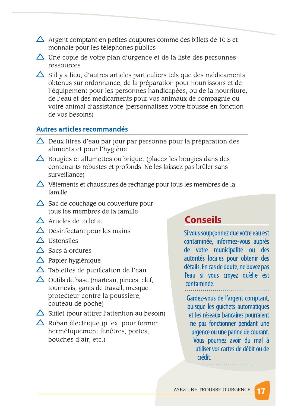- $\triangle$  Argent comptant en petites coupures comme des billets de 10 \$ et monnaie pour les téléphones publics
- $\triangle$  Une copie de votre plan d'urgence et de la liste des personnesressources
- $\triangle$  S'il y a lieu, d'autres articles particuliers tels que des médicaments obtenus sur ordonnance, de la préparation pour nourrissons et de l'équipement pour les personnes handicapées, ou de la nourriture, de l'eau et des médicaments pour vos animaux de compagnie ou votre animal d'assistance (personnalisez votre trousse en fonction de vos besoins)

### Autres articles recommandés

- $\triangle$  Deux litres d'eau par jour par personne pour la préparation des aliments et pour l'hygiène
- $\triangle$  Bougies et allumettes ou briquet (placez les bougies dans des contenants robustes et profonds. Ne les laissez pas brûler sans surveillance)
- $\triangle$  Vêtements et chaussures de rechange pour tous les membres de la famille
- $\triangle$  Sac de couchage ou couverture pour tous les membres de la famille
- $\triangle$  Articles de toilette
- $\triangle$  Désinfectant pour les mains
- $\triangle$  Ustensiles
- $\triangle$  Sacs à ordures
- $\triangle$  Papier hygiénique
- $\triangle$  Tablettes de purification de l'eau
- $\triangle$  Outils de base (marteau, pinces, clef, tournevis, gants de travail, masque protecteur contre la poussière, couteau de poche)

# **Conseils**

Si vous soupçonnez que votre eau est contaminée, informez-vous auprès de votre municipalité ou des autorités locales pour obtenir des détails. En cas de doute, ne buvez pas l'eau si vous croyez qu'elle est contaminée.

Gardez-vous de l'argent comptant, puisque les guichets automatiques et les réseaux bancaires pourraient ne pas fonctionner pendant une urgence ou une panne de courant. Vous pourriez avoir du mal à utiliser vos cartes de débit ou de crédit.

 $\triangle$  Sifflet (pour attirer l'attention au besoin)  $\triangle$  Ruban électrique (p. ex. pour fermer hermétiquement fenêtres, portes, bouches d'air, etc.)

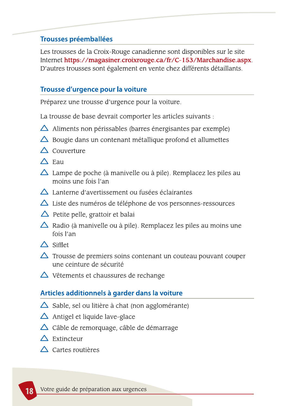# **Trousses préemballées**

Les trousses de la Croix-Rouge canadienne sont disponibles sur le site Internet https://magasiner.croixrouge.ca/fr/C-153/Marchandise.aspx. D'autres trousses sont également en vente chez différents détaillants.

# Trousse d'urgence pour la voiture

Préparez une trousse d'urgence pour la voiture.

La trousse de base devrait comporter les articles suivants :

- $\triangle$  Aliments non périssables (barres énergisantes par exemple)
- $\triangle$  Bougie dans un contenant métallique profond et allumettes
- $\triangle$  Couverture
- $\triangle$  Eau
- $\triangle$  Lampe de poche (à manivelle ou à pile). Remplacez les piles au moins une fois l'an
- $\triangle$  Lanterne d'avertissement ou fusées éclairantes
- $\triangle$  Liste des numéros de téléphone de vos personnes-ressources
- $\triangle$  Petite pelle, grattoir et balai
- $\triangle$  Radio (à manivelle ou à pile). Remplacez les piles au moins une fois l'an
- $\triangle$  Sifflet
- $\triangle$  Trousse de premiers soins contenant un couteau pouvant couper une ceinture de sécurité
- $\triangle$  Vêtements et chaussures de rechange

# Articles additionnels à garder dans la voiture

 $\Delta$  Sable, sel ou litière à chat (non agglomérante)

# $\Delta$  Antigel et liquide lave-glace

 $\triangle$  Câble de remorquage, câble de démarrage

# Extincteur

# Cartes routières

Votre guide de préparation aux urgences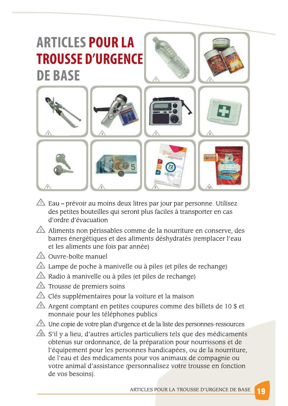

- $\triangle$  Eau prévoir au moins deux litres par jour par personne. Utilisez des petites bouteilles qui seront plus faciles à transporter en cas d'ordre d'évacuation
- $\triangle$  Aliments non périssables comme de la nourriture en conserve, des barres énergétiques et des aliments déshydratés (remplacer l'eau et les aliments une fois par année)
- 4 Ouvre-boîte manuel
- △ Lampe de poche à manivelle ou à piles (et piles de rechange)
- Radio à manivelle ou à piles (et piles de rechange)
- △ Trousse de premiers soins
- $\triangle$  Clés supplémentaires pour la voiture et la maison
- $\sqrt{8}$  Argent comptant en petites coupures comme des billets de 10 \$ et monnaie pour les téléphones publics
- △ Une copie de votre plan d'urgence et de la liste des personnes-ressources S'il y a lieu, d'autres articles particuliers tels que des médicaments obtenus sur ordonnance, de la préparation pour nourrissons et de l'équipement pour les personnes handicapées, ou de la nourriture, de l'eau et des médicaments pour vos animaux de compagnie ou votre animal d'assistance (personnalisez votre trousse en fonction de vos besoins).

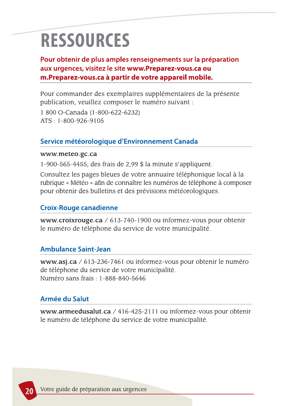# **RESSOURCES**

Pour obtenir de plus amples renseignements sur la préparation aux urgences, visitez le site www.Preparez-vous.ca ou m. Preparez-vous.ca à partir de votre appareil mobile.

Pour commander des exemplaires supplémentaires de la présente publication, veuillez composer le numéro suivant :

1 800 O-Canada (1-800-622-6232)  $ATS: 1-800-926-9105$ 

# Service météorologique d'Environnement Canada

### www.meteo.gc.ca

1-900-565-4455; des frais de  $2,99$  \$ la minute s'appliquent.

Consultez les pages bleues de votre annuaire téléphonique local à la rubrique « Météo » afin de connaître les numéros de téléphone à composer pour obtenir des bulletins et des prévisions météorologiques.

# **Croix-Rouge canadienne**

www.croixrouge.ca /  $613-740-1900$  ou informez-vous pour obtenir le numéro de téléphone du service de votre municipalité.

# **Ambulance Saint-Jean**

www.asj.ca / 613-236-7461 ou informez-vous pour obtenir le numéro de téléphone du service de votre municipalité. Numéro sans frais : 1-888-840-5646

# **Armée du Salut**

### www.armeedusalut.ca / 416-425-2111 ou informez-vous pour obtenir le numéro de téléphone du service de votre municipalité.

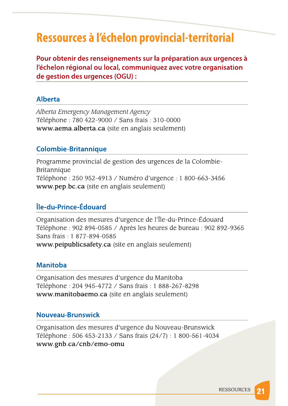# Ressources à l'échelon provincial-territorial

Pour obtenir des renseignements sur la préparation aux urgences à l'échelon régional ou local, communiquez avec votre organisation de gestion des urgences (OGU) :

### **Alberta**

Alberta Emergency Management Agency Téléphone : 780 422-9000 / Sans frais : 310-0000 www.aema.alberta.ca (site en anglais seulement)

# **Colombie-Britannique**

Programme provincial de gestion des urgences de la Colombie-Britannique Téléphone : 250 952-4913 / Numéro d'urgence : 1 800-663-3456 www.pep.bc.ca (site en anglais seulement)

# Île-du-Prince-Édouard

Organisation des mesures d'urgence de l'Île-du-Prince-Édouard Téléphone : 902 894-0585 / Après les heures de bureau : 902 892-9365 Sans frais: 1 877-894-0585 www.peipublicsafety.ca (site en anglais seulement)

### **Manitoba**

Organisation des mesures d'urgence du Manitoba Téléphone : 204 945-4772 / Sans frais : 1 888-267-8298 www.manitobaemo.ca (site en anglais seulement)

### **Nouveau-Brunswick**

Organisation des mesures d'urgence du Nouveau-Brunswick Téléphone : 506 453-2133 / Sans frais (24/7) : 1 800-561-4034 www.gnb.ca/cnb/emo-omu

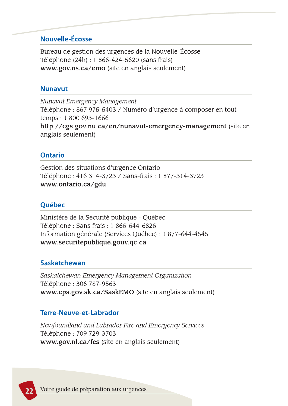# Nouvelle-Écosse

Bureau de gestion des urgences de la Nouvelle-Écosse Téléphone (24h) : 1 866-424-5620 (sans frais) www.gov.ns.ca/emo (site en anglais seulement)

### **Nunavut**

Nunavut Emergency Management Téléphone : 867 975-5403 / Numéro d'urgence à composer en tout temps: 1 800 693-1666 http://cgs.gov.nu.ca/en/nunavut-emergency-management (site en anglais seulement)

# **Ontario**

Gestion des situations d'urgence Ontario Téléphone : 416 314-3723 / Sans-frais : 1 877-314-3723 www.ontario.ca/gdu

## Québec

Ministère de la Sécurité publique - Québec Téléphone : Sans frais : 1 866-644-6826 Information générale (Services Québec) : 1 877-644-4545 www.securitepublique.gouv.qc.ca

### **Saskatchewan**

Saskatchewan Emergency Management Organization Téléphone : 306 787-9563 www.cps.gov.sk.ca/SaskEMO (site en anglais seulement)

### **Terre-Neuve-et-Labrador**

Newfoundland and Labrador Fire and Emergency Services Téléphone : 709 729-3703 www.gov.nl.ca/fes (site en anglais seulement)

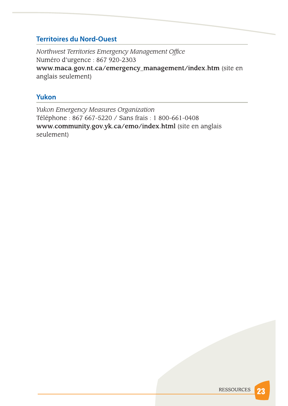# **Territoires du Nord-Ouest**

Northwest Territories Emergency Management Office Numéro d'urgence : 867 920-2303 www.maca.gov.nt.ca/emergency\_management/index.htm (site en anglais seulement)

# Yukon

Yukon Emergency Measures Organization Téléphone : 867 667-5220 / Sans frais : 1 800-661-0408 www.community.gov.yk.ca/emo/index.html (site en anglais seulement)